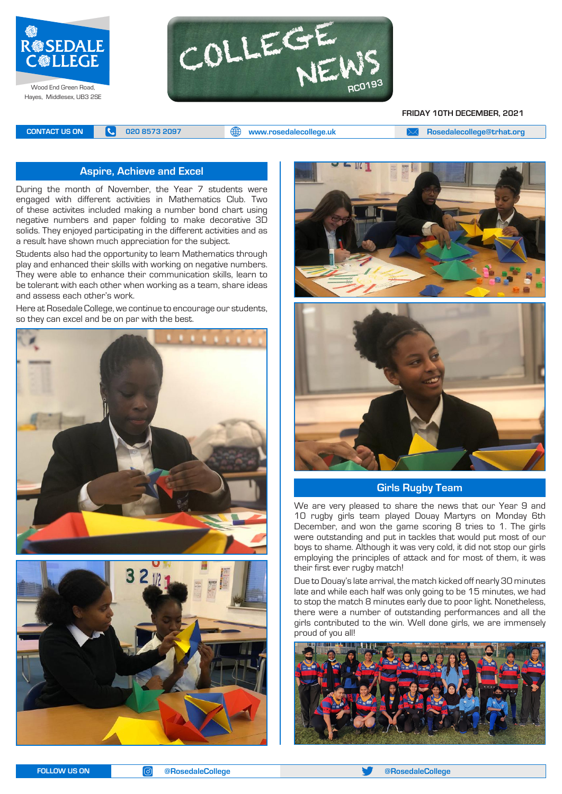



#### **FRIDAY 10TH DECEMBER, 2021**

**CONTACT US ON <b>C** 020 8573 2097 **C** 020 8573 2097 **CONTACT US ON EXAM Rosedalecollege@trhat.org** 

#### **Aspire, Achieve and Excel**

During the month of November, the Year 7 students were engaged with different activities in Mathematics Club. Two of these activites included making a number bond chart using negative numbers and paper folding to make decorative 3D solids. They enjoyed participating in the different activities and as a result have shown much appreciation for the subject.

Students also had the opportunity to learn Mathematics through play and enhanced their skills with working on negative numbers. They were able to enhance their communication skills, learn to be tolerant with each other when working as a team, share ideas and assess each other's work.

Here at Rosedale College, we continue to encourage our students, so they can excel and be on par with the best.









#### **Girls Rugby Team**

We are very pleased to share the news that our Year 9 and 10 rugby girls team played Douay Martyrs on Monday 6th December, and won the game scoring 8 tries to 1. The girls were outstanding and put in tackles that would put most of our boys to shame. Although it was very cold, it did not stop our girls employing the principles of attack and for most of them, it was their first ever rugby match!

Due to Douay's late arrival, the match kicked off nearly 30 minutes late and while each half was only going to be 15 minutes, we had to stop the match 8 minutes early due to poor light. Nonetheless, there were a number of outstanding performances and all the girls contributed to the win. Well done girls, we are immensely proud of you all!